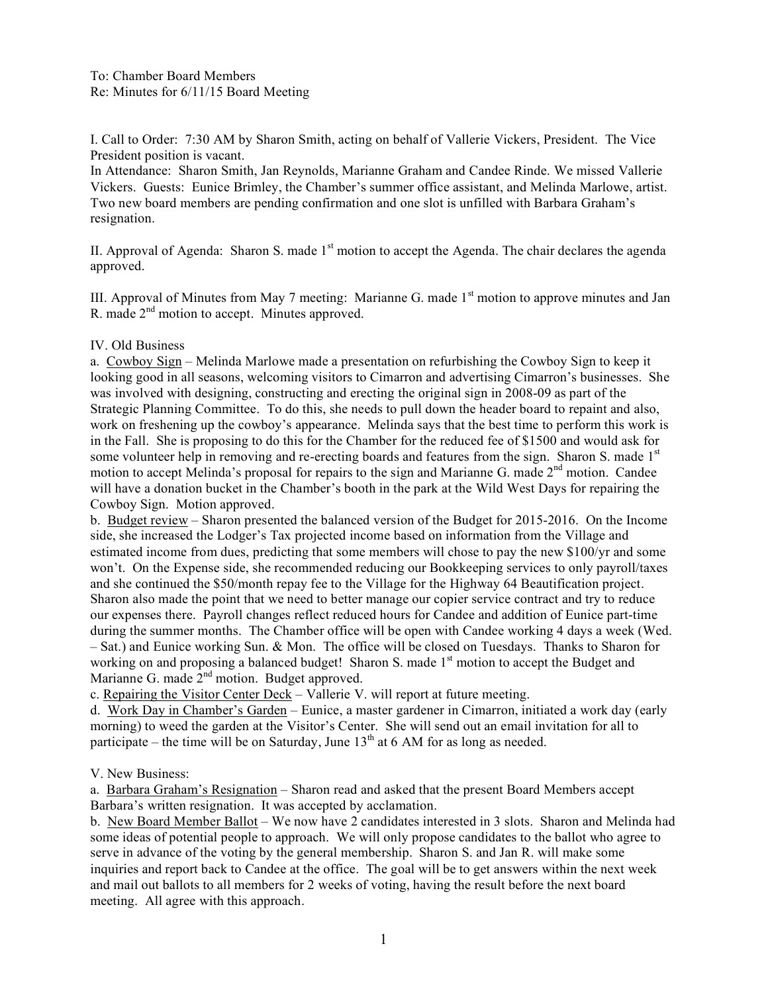I. Call to Order: 7:30 AM by Sharon Smith, acting on behalf of Vallerie Vickers, President. The Vice President position is vacant.

In Attendance: Sharon Smith, Jan Reynolds, Marianne Graham and Candee Rinde. We missed Vallerie Vickers. Guests: Eunice Brimley, the Chamber's summer office assistant, and Melinda Marlowe, artist. Two new board members are pending confirmation and one slot is unfilled with Barbara Graham's resignation.

II. Approval of Agenda: Sharon S. made 1<sup>st</sup> motion to accept the Agenda. The chair declares the agenda approved.

III. Approval of Minutes from May 7 meeting: Marianne G. made  $1<sup>st</sup>$  motion to approve minutes and Jan R. made  $2<sup>nd</sup>$  motion to accept. Minutes approved.

## IV. Old Business

a. Cowboy Sign – Melinda Marlowe made a presentation on refurbishing the Cowboy Sign to keep it looking good in all seasons, welcoming visitors to Cimarron and advertising Cimarron's businesses. She was involved with designing, constructing and erecting the original sign in 2008-09 as part of the Strategic Planning Committee. To do this, she needs to pull down the header board to repaint and also, work on freshening up the cowboy's appearance. Melinda says that the best time to perform this work is in the Fall. She is proposing to do this for the Chamber for the reduced fee of \$1500 and would ask for some volunteer help in removing and re-erecting boards and features from the sign. Sharon S. made 1<sup>st</sup> motion to accept Melinda's proposal for repairs to the sign and Marianne G. made 2<sup>nd</sup> motion. Candee will have a donation bucket in the Chamber's booth in the park at the Wild West Days for repairing the Cowboy Sign. Motion approved.

b. Budget review – Sharon presented the balanced version of the Budget for 2015-2016. On the Income side, she increased the Lodger's Tax projected income based on information from the Village and estimated income from dues, predicting that some members will chose to pay the new \$100/yr and some won't. On the Expense side, she recommended reducing our Bookkeeping services to only payroll/taxes and she continued the \$50/month repay fee to the Village for the Highway 64 Beautification project. Sharon also made the point that we need to better manage our copier service contract and try to reduce our expenses there. Payroll changes reflect reduced hours for Candee and addition of Eunice part-time during the summer months. The Chamber office will be open with Candee working 4 days a week (Wed. – Sat.) and Eunice working Sun. & Mon. The office will be closed on Tuesdays. Thanks to Sharon for working on and proposing a balanced budget! Sharon S. made 1<sup>st</sup> motion to accept the Budget and Marianne G. made  $2<sup>nd</sup>$  motion. Budget approved.

c. Repairing the Visitor Center Deck – Vallerie V. will report at future meeting.

d. Work Day in Chamber's Garden – Eunice, a master gardener in Cimarron, initiated a work day (early morning) to weed the garden at the Visitor's Center. She will send out an email invitation for all to participate – the time will be on Saturday, June  $13<sup>th</sup>$  at 6 AM for as long as needed.

## V. New Business:

a. Barbara Graham's Resignation – Sharon read and asked that the present Board Members accept Barbara's written resignation. It was accepted by acclamation.

b. New Board Member Ballot – We now have 2 candidates interested in 3 slots. Sharon and Melinda had some ideas of potential people to approach. We will only propose candidates to the ballot who agree to serve in advance of the voting by the general membership. Sharon S. and Jan R. will make some inquiries and report back to Candee at the office. The goal will be to get answers within the next week and mail out ballots to all members for 2 weeks of voting, having the result before the next board meeting. All agree with this approach.